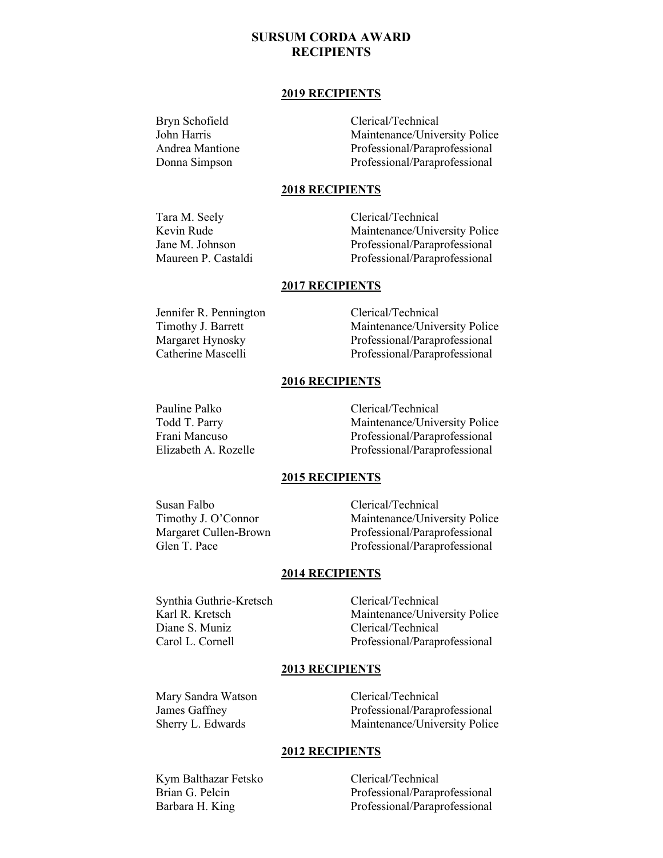# **SURSUM CORDA AWARD RECIPIENTS**

#### **2019 RECIPIENTS**

Bryn Schofield Clerical/Technical John Harris Maintenance/University Police Andrea Mantione Professional/Paraprofessional Donna Simpson Professional/Paraprofessional

## **2018 RECIPIENTS**

Tara M. Seely Clerical/Technical Kevin Rude Maintenance/University Police Jane M. Johnson Professional/Paraprofessional Maureen P. Castaldi Professional/Paraprofessional

## **2017 RECIPIENTS**

Jennifer R. Pennington Clerical/Technical Timothy J. Barrett Maintenance/University Police Margaret Hynosky<br>
Catherine Mascelli<br>
Professional/Paraprofessional<br>
Professional/Paraprofessional Professional/Paraprofessional

## **2016 RECIPIENTS**

Pauline Palko Clerical/Technical Todd T. Parry Maintenance/University Police Frani Mancuso Professional/Paraprofessional Elizabeth A. Rozelle Professional/Paraprofessional

## **2015 RECIPIENTS**

Susan Falbo Clerical/Technical

Timothy J. O'Connor<br>
Maintenance/University Police<br>
Maintenance/University Police<br>
Professional/Paraprofessional Professional/Paraprofessional Glen T. Pace Professional/Paraprofessional

#### **2014 RECIPIENTS**

Synthia Guthrie-Kretsch Clerical/Technical Diane S. Muniz Clerical/Technical

Karl R. Kretsch Maintenance/University Police Carol L. Cornell Professional/Paraprofessional

#### **2013 RECIPIENTS**

Mary Sandra Watson Clerical/Technical

James Gaffney Professional/Paraprofessional Sherry L. Edwards Maintenance/University Police

#### **2012 RECIPIENTS**

Kym Balthazar Fetsko Clerical/Technical

Brian G. Pelcin Professional/Paraprofessional Barbara H. King Professional/Paraprofessional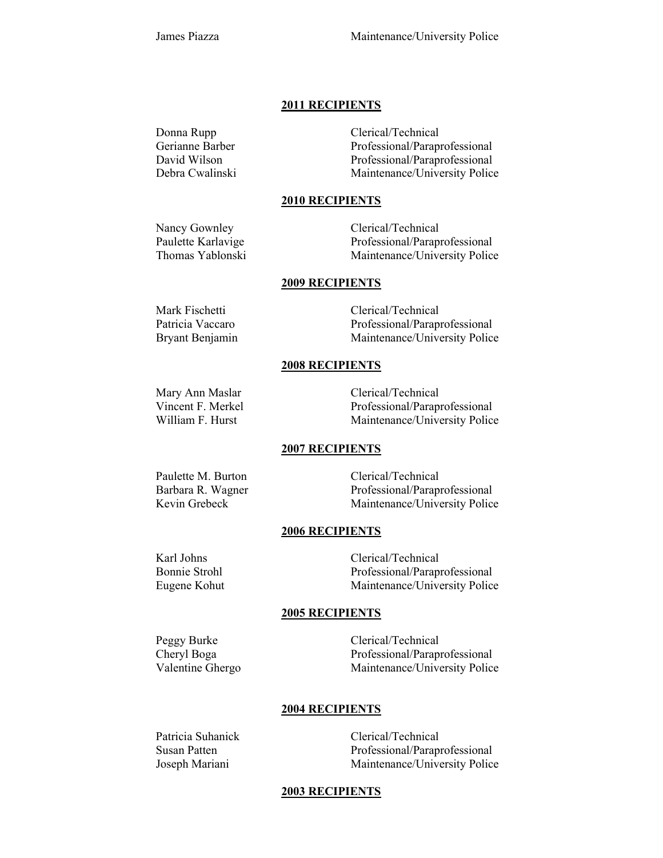#### **2011 RECIPIENTS**

Donna Rupp Clerical/Technical Gerianne Barber Professional/Paraprofessional David Wilson Professional/Paraprofessional Debra Cwalinski Maintenance/University Police

#### **2010 RECIPIENTS**

Nancy Gownley Clerical/Technical Paulette Karlavige Professional/Paraprofessional Thomas Yablonski Maintenance/University Police

## **2009 RECIPIENTS**

Bryant Benjamin Maintenance/University Police

## **2008 RECIPIENTS**

Mary Ann Maslar Clerical/Technical Vincent F. Merkel Professional/Paraprofessional William F. Hurst Maintenance/University Police

## **2007 RECIPIENTS**

Paulette M. Burton Clerical/Technical Barbara R. Wagner Professional/Paraprofessional<br>Kevin Grebeck Maintenance/University Police Maintenance/University Police

#### **2006 RECIPIENTS**

Karl Johns Clerical/Technical Bonnie Strohl Professional/Paraprofessional Eugene Kohut Maintenance/University Police

## **2005 RECIPIENTS**

Peggy Burke Clerical/Technical Cheryl Boga Professional/Paraprofessional Valentine Ghergo Maintenance/University Police

## **2004 RECIPIENTS**

Patricia Suhanick Clerical/Technical Susan Patten Professional/Paraprofessional Joseph Mariani Maintenance/University Police

## **2003 RECIPIENTS**

Mark Fischetti Clerical/Technical Patricia Vaccaro Professional/Paraprofessional